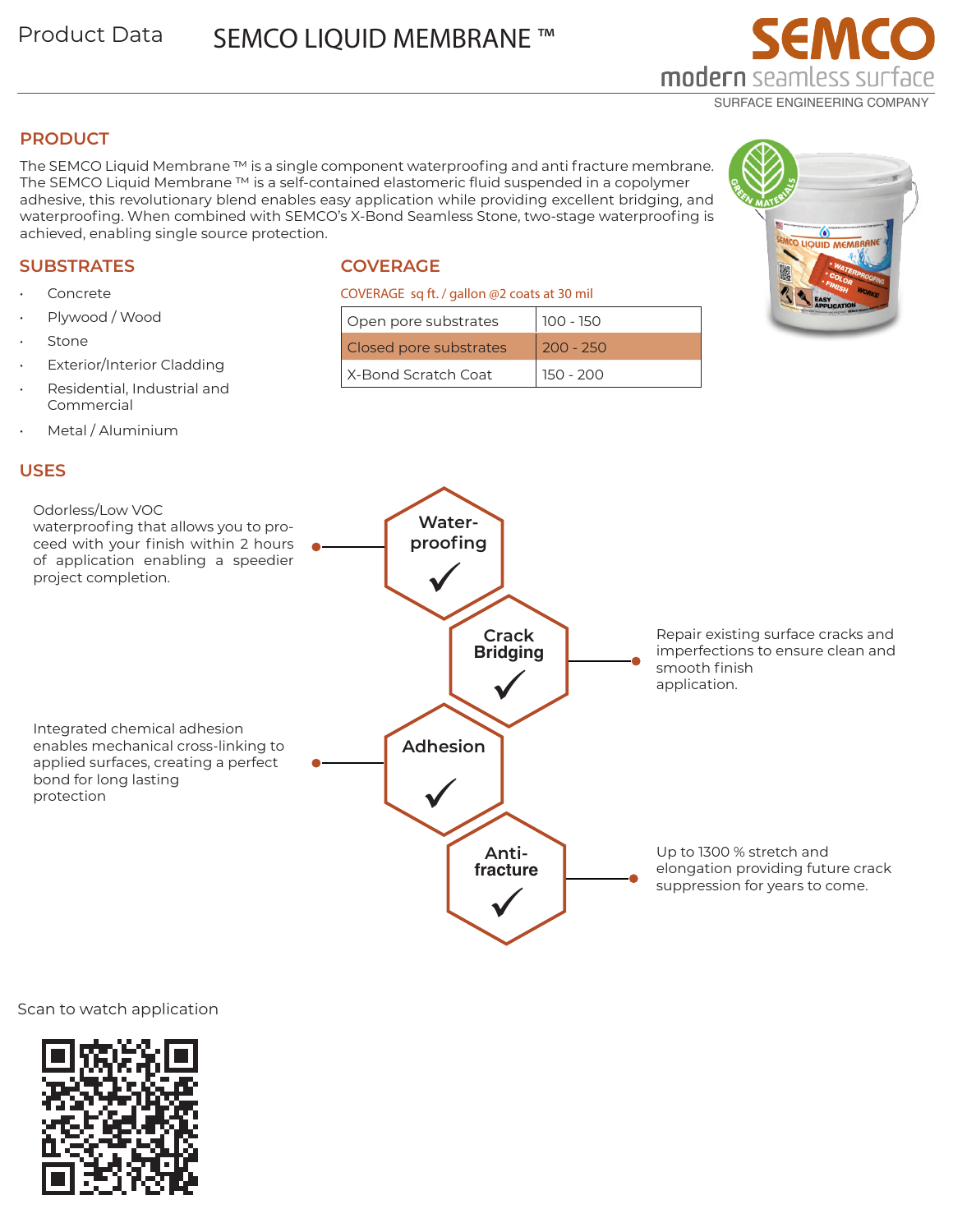# **PRODUCT**

The SEMCO Liquid Membrane ™ is a single component waterproofing and anti fracture membrane. The SEMCO Liquid Membrane ™ is a self-contained elastomeric fluid suspended in a copolymer adhesive, this revolutionary blend enables easy application while providing excellent bridging, and waterproofing. When combined with SEMCO's X-Bond Seamless Stone, two-stage waterproofing is achieved, enabling single source protection.

# **SUBSTRATES Concrete**

**Stone** 

• Plywood / Wood

Commercial

• Metal / Aluminium

**Exterior/Interior Cladding** • Residential, Industrial and

# **COVERAGE**

#### COVERAGE sq ft. / gallon @2 coats at 30 mil

| Open pore substrates   | $100 - 150$ |
|------------------------|-------------|
| Closed pore substrates | $200 - 250$ |
| X-Bond Scratch Coat    | 150 - 200   |





 $\bullet$ CO LIQUID MEMBRANE

EMCO



### Scan to watch application

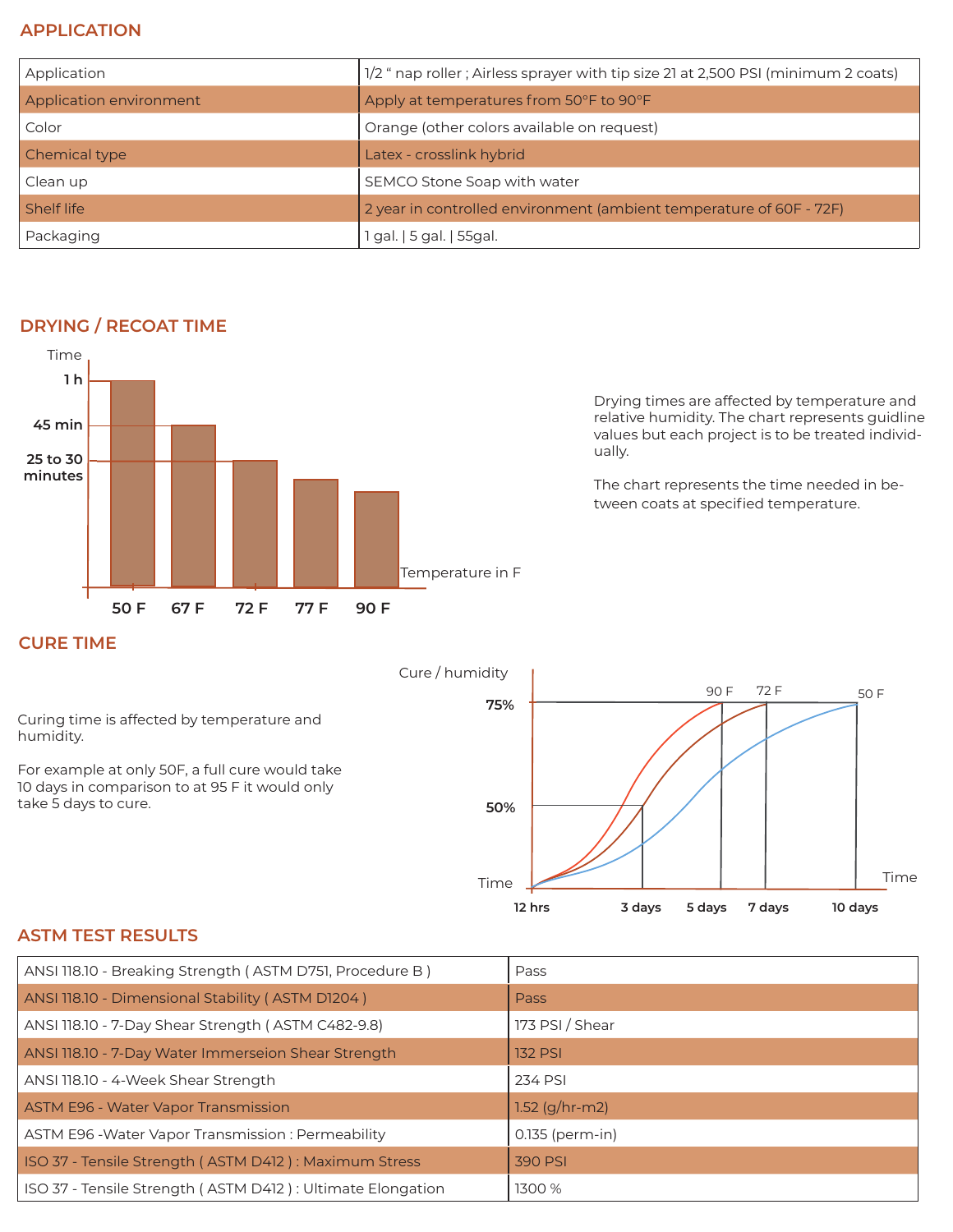## **APPLICATION**

| Application             | 1/2 " nap roller ; Airless sprayer with tip size 21 at 2,500 PSI (minimum 2 coats) |
|-------------------------|------------------------------------------------------------------------------------|
| Application environment | Apply at temperatures from 50°F to 90°F                                            |
| Color                   | Orange (other colors available on request)                                         |
| Chemical type           | Latex - crosslink hybrid                                                           |
| Clean up                | SEMCO Stone Soap with water                                                        |
| Shelf life              | 2 year in controlled environment (ambient temperature of 60F - 72F)                |
| Packaging               | 1 gal.   5 gal.   55gal.                                                           |



**DRYING / RECOAT TIME**

Drying times are affected by temperature and relative humidity. The chart represents guidline values but each project is to be treated individually.

The chart represents the time needed in between coats at specified temperature.

## **CURE TIME**

Cure / humidity Time **75% 3 days 10 days 50% 12 hrs** Time 90 F 72 F 50 F **5 days 7 days** Curing time is affected by temperature and humidity. For example at only 50F, a full cure would take 10 days in comparison to at 95 F it would only take 5 days to cure.

## **ASTM TEST RESULTS**

| ANSI 118.10 - Breaking Strength (ASTM D751, Procedure B)   | Pass               |
|------------------------------------------------------------|--------------------|
| ANSI 118.10 - Dimensional Stability (ASTM D1204)           | <b>Pass</b>        |
| ANSI 118.10 - 7-Day Shear Strength (ASTM C482-9.8)         | 173 PSI / Shear    |
| ANSI 118.10 - 7-Day Water Immerseion Shear Strength        | <b>132 PSI</b>     |
| ANSI 118.10 - 4-Week Shear Strength                        | 234 PSI            |
| ASTM E96 - Water Vapor Transmission                        | 1.52 ( $g/hr$ -m2) |
| ASTM E96 - Water Vapor Transmission: Permeability          | 0.135 (perm-in)    |
| ISO 37 - Tensile Strength (ASTM D412): Maximum Stress      | 390 PSI            |
| ISO 37 - Tensile Strength (ASTM D412): Ultimate Elongation | 1300 %             |